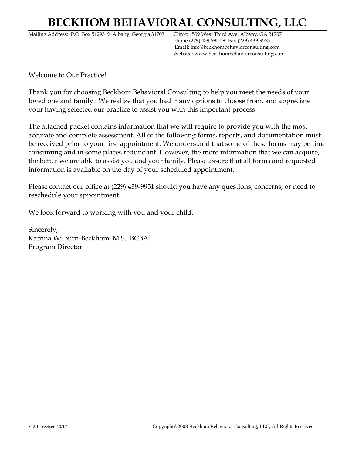# **BECKHOM BEHAVIORAL CONSULTING, LLC**

Mailing Address: P.O. Box 51293  $\diamond$  Albany, Georgia 31703 Clinic: 1509 West Third Ave. Albany, GA 31707

Phone (229) 439-9951 ♦ Fax (229) 439-9553 Email: info@beckhombehaviorconsulting.com Website: www.beckhombehaviorconsulting.com

Welcome to Our Practice!

Thank you for choosing Beckhom Behavioral Consulting to help you meet the needs of your loved one and family. We realize that you had many options to choose from, and appreciate your having selected our practice to assist you with this important process.

The attached packet contains information that we will require to provide you with the most accurate and complete assessment. All of the following forms, reports, and documentation must be received prior to your first appointment. We understand that some of these forms may be time consuming and in some places redundant. However, the more information that we can acquire, the better we are able to assist you and your family. Please assure that all forms and requested information is available on the day of your scheduled appointment.

Please contact our office at (229) 439-9951 should you have any questions, concerns, or need to reschedule your appointment.

We look forward to working with you and your child.

Sincerely, Katrina Wilburn-Beckhom, M.S., BCBA Program Director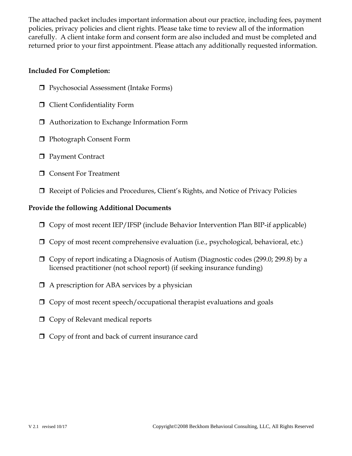The attached packet includes important information about our practice, including fees, payment policies, privacy policies and client rights. Please take time to review all of the information carefully. A client intake form and consent form are also included and must be completed and returned prior to your first appointment. Please attach any additionally requested information.

# **Included For Completion:**

- □ Psychosocial Assessment (Intake Forms)
- □ Client Confidentiality Form
- Authorization to Exchange Information Form
- □ Photograph Consent Form
- **D** Payment Contract
- **D** Consent For Treatment
- □ Receipt of Policies and Procedures, Client's Rights, and Notice of Privacy Policies

# **Provide the following Additional Documents**

- $\Box$  Copy of most recent IEP/IFSP (include Behavior Intervention Plan BIP-if applicable)
- □ Copy of most recent comprehensive evaluation (i.e., psychological, behavioral, etc.)
- □ Copy of report indicating a Diagnosis of Autism (Diagnostic codes (299.0; 299.8) by a licensed practitioner (not school report) (if seeking insurance funding)
- $\Box$  A prescription for ABA services by a physician
- $\Box$  Copy of most recent speech/occupational therapist evaluations and goals
- □ Copy of Relevant medical reports
- $\Box$  Copy of front and back of current insurance card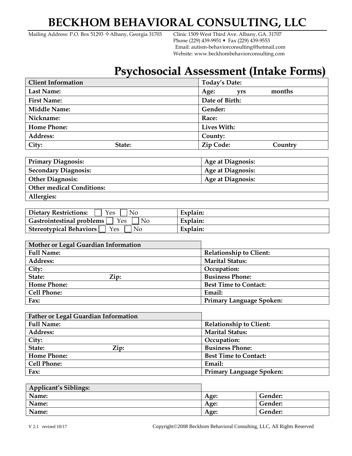# **BECKHOM BEHAVIORAL CONSULTING, LLC**

Mailing Address: P.O. Box 51293  $\diamond$  Albany, Georgia 31703 Clinic 1509 West Third Ave. Albany, GA. 31707

Phone (229) 439-9951 ♦ Fax (229) 439-9553 Email: autism-behaviorconsulting@hotmail.com Website: www.beckhombehaviorconsulting.com

# **Psychosocial Assessment (Intake Forms)**

| <b>Client Information</b> |        | <b>Today's Date:</b> |     |         |
|---------------------------|--------|----------------------|-----|---------|
| <b>Last Name:</b>         |        | Age:                 | vrs | months  |
| <b>First Name:</b>        |        | Date of Birth:       |     |         |
| <b>Middle Name:</b>       |        | Gender:              |     |         |
| Nickname:                 |        | Race:                |     |         |
| <b>Home Phone:</b>        |        | Lives With:          |     |         |
| Address:                  |        | County:              |     |         |
| City:                     | State: | Zip Code:            |     | Country |

| <b>Primary Diagnosis:</b>        | Age at Diagnosis: |
|----------------------------------|-------------------|
| <b>Secondary Diagnosis:</b>      | Age at Diagnosis: |
| <b>Other Diagnosis:</b>          | Age at Diagnosis: |
| <b>Other medical Conditions:</b> |                   |
| Allergies:                       |                   |

| Yes<br><b>Dietary Restrictions:</b><br>No     | Explain: |
|-----------------------------------------------|----------|
| Gastrointestinal problems<br><b>Yes</b><br>No | Explain: |
| <b>Stereotypical Behaviors</b><br>Yes<br>No   | Explain: |

| Mother or Legal Guardian Information |                                 |
|--------------------------------------|---------------------------------|
| <b>Full Name:</b>                    | <b>Relationship to Client:</b>  |
| Address:                             | <b>Marital Status:</b>          |
| City:                                | Occupation:                     |
| State:<br>Zip:                       | <b>Business Phone:</b>          |
| <b>Home Phone:</b>                   | <b>Best Time to Contact:</b>    |
| <b>Cell Phone:</b>                   | Email:                          |
| Fax:                                 | <b>Primary Language Spoken:</b> |

| <b>Father or Legal Guardian Information</b> |                                 |
|---------------------------------------------|---------------------------------|
| <b>Full Name:</b>                           | <b>Relationship to Client:</b>  |
| <b>Address:</b>                             | <b>Marital Status:</b>          |
| City:                                       | Occupation:                     |
| State:<br>Zip:                              | <b>Business Phone:</b>          |
| <b>Home Phone:</b>                          | <b>Best Time to Contact:</b>    |
| <b>Cell Phone:</b>                          | Email:                          |
| Fax:                                        | <b>Primary Language Spoken:</b> |

| Applicant's Siblings: |      |         |
|-----------------------|------|---------|
| Name:                 | Age: | Gender: |
| Name:                 | Age: | Gender: |
| Name:                 | Age: | Gender: |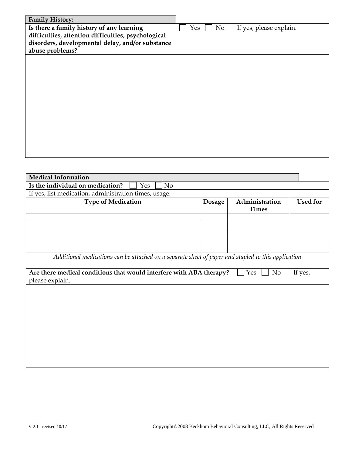| <b>Family History:</b>                                                                                                                                                  |           |                         |
|-------------------------------------------------------------------------------------------------------------------------------------------------------------------------|-----------|-------------------------|
| Is there a family history of any learning<br>difficulties, attention difficulties, psychological<br>disorders, developmental delay, and/or substance<br>abuse problems? | No<br>Yes | If yes, please explain. |
|                                                                                                                                                                         |           |                         |
|                                                                                                                                                                         |           |                         |
|                                                                                                                                                                         |           |                         |
|                                                                                                                                                                         |           |                         |
|                                                                                                                                                                         |           |                         |

| <b>Medical Information</b>                            |        |                |                 |
|-------------------------------------------------------|--------|----------------|-----------------|
| Is the individual on medication?<br>No<br>Yes         |        |                |                 |
| If yes, list medication, administration times, usage: |        |                |                 |
| <b>Type of Medication</b>                             | Dosage | Administration | <b>Used for</b> |
|                                                       |        | <b>Times</b>   |                 |
|                                                       |        |                |                 |
|                                                       |        |                |                 |
|                                                       |        |                |                 |
|                                                       |        |                |                 |
|                                                       |        |                |                 |

*Additional medications can be attached on a separate sheet of paper and stapled to this application*

| Are there medical conditions that would interfere with ABA therapy?<br>please explain. | No<br>$Yes \mid$<br>$\pm$ | If yes, |
|----------------------------------------------------------------------------------------|---------------------------|---------|
|                                                                                        |                           |         |
|                                                                                        |                           |         |
|                                                                                        |                           |         |
|                                                                                        |                           |         |
|                                                                                        |                           |         |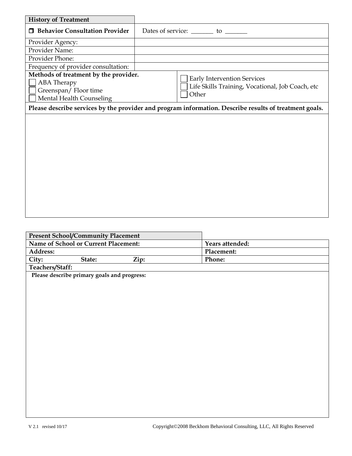| <b>History of Treatment</b>                                                                                     |                                                                                                        |
|-----------------------------------------------------------------------------------------------------------------|--------------------------------------------------------------------------------------------------------|
| <b>Behavior Consultation Provider</b>                                                                           | Dates of service: ________ to _______                                                                  |
| Provider Agency:                                                                                                |                                                                                                        |
| Provider Name:                                                                                                  |                                                                                                        |
| Provider Phone:                                                                                                 |                                                                                                        |
| Frequency of provider consultation:                                                                             |                                                                                                        |
| Methods of treatment by the provider.<br><b>ABA</b> Therapy<br>Greenspan/Floor time<br>Mental Health Counseling | Early Intervention Services<br>Life Skills Training, Vocational, Job Coach, etc<br>Other               |
|                                                                                                                 | Please describe services by the provider and program information. Describe results of treatment goals. |
|                                                                                                                 |                                                                                                        |
| <b>Present School/Community Placement</b>                                                                       |                                                                                                        |

|                 | <b>Present School/Community Placement</b> |      |                 |
|-----------------|-------------------------------------------|------|-----------------|
|                 | Name of School or Current Placement:      |      | Years attended: |
| <b>Address:</b> |                                           |      | Placement:      |
| City:           | State:                                    | Zip: | <b>Phone:</b>   |
| Teachers/Staff: |                                           |      |                 |

**Please describe primary goals and progress:**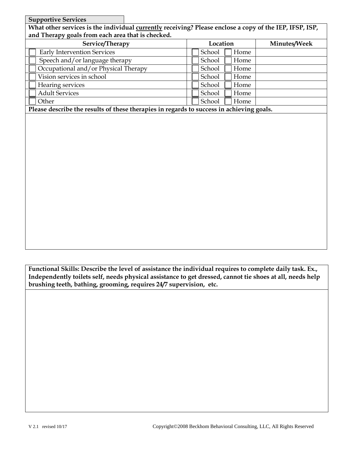## **Supportive Services**

**What other services is the individual currently receiving? Please enclose a copy of the IEP, IFSP, ISP, and Therapy goals from each area that is checked.**

| Service/Therapy                                                                          | Location       | Minutes/Week |  |
|------------------------------------------------------------------------------------------|----------------|--------------|--|
| <b>Early Intervention Services</b>                                                       | School<br>Home |              |  |
| Speech and/or language therapy                                                           | School<br>Home |              |  |
| Occupational and/or Physical Therapy                                                     | School<br>Home |              |  |
| Vision services in school                                                                | School<br>Home |              |  |
| Hearing services                                                                         | School<br>Home |              |  |
| <b>Adult Services</b>                                                                    | School<br>Home |              |  |
| Other                                                                                    | School<br>Home |              |  |
| Please describe the results of these therapies in regards to success in achieving goals. |                |              |  |

**Functional Skills: Describe the level of assistance the individual requires to complete daily task. Ex., Independently toilets self, needs physical assistance to get dressed, cannot tie shoes at all, needs help brushing teeth, bathing, grooming, requires 24/7 supervision, etc.**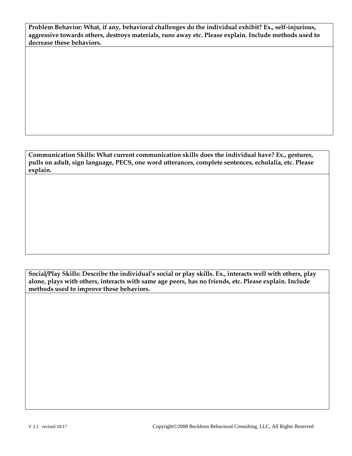**Problem Behavior: What, if any, behavioral challenges do the individual exhibit? Ex., self-injurious, aggressive towards others, destroys materials, runs away etc. Please explain. Include methods used to decrease these behaviors.**

**Communication Skills: What current communication skills does the individual have? Ex., gestures, pulls on adult, sign language, PECS, one word utterances, complete sentences, echolalia, etc. Please explain.**

**Social/Play Skills: Describe the individual's social or play skills. Ex., interacts well with others, play alone, plays with others, interacts with same age peers, has no friends, etc. Please explain. Include methods used to improve these behaviors.**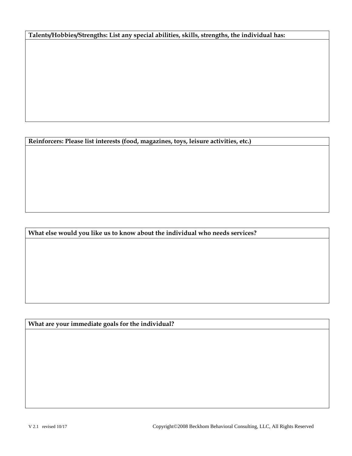**Talents/Hobbies/Strengths: List any special abilities, skills, strengths, the individual has:**

**Reinforcers: Please list interests (food, magazines, toys, leisure activities, etc.)**

**What else would you like us to know about the individual who needs services?**

**What are your immediate goals for the individual?**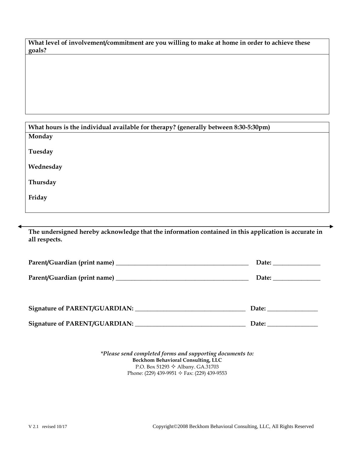| What level of involvement/commitment are you willing to make at home in order to achieve these |  |
|------------------------------------------------------------------------------------------------|--|
| goals?                                                                                         |  |

| What hours is the individual available for therapy? (generally between 8:30-5:30pm) |
|-------------------------------------------------------------------------------------|
| Monday                                                                              |
|                                                                                     |
| Tuesday                                                                             |
|                                                                                     |
| Wednesday                                                                           |
| Thursday                                                                            |
|                                                                                     |
| Friday                                                                              |
|                                                                                     |
|                                                                                     |

**The undersigned hereby acknowledge that the information contained in this application is accurate in all respects.**

| Date: $\frac{1}{\sqrt{1-\frac{1}{2}}\cdot\frac{1}{\sqrt{1-\frac{1}{2}}}}$ |
|---------------------------------------------------------------------------|
|                                                                           |
|                                                                           |
| Date: $\qquad \qquad$                                                     |
|                                                                           |

*\*Please send completed forms and supporting documents to:* **Beckhom Behavioral Consulting, LLC** P.O. Box 51293 ↓ Albany. GA.31703 Phone: (229) 439-9951 ☆ Fax: (229) 439-9553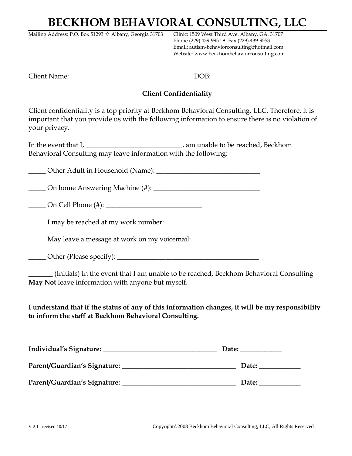# **BECKHOM BEHAVIORAL CONSULTING, LLC**

Mailing Address: P.O. Box 51293  $\diamond$  Albany, Georgia 31703 Clinic: 1509 West Third Ave. Albany, GA. 31707

Phone (229) 439-9951 ♦ Fax (229) 439-9553 Email: autism-behaviorconsulting@hotmail.com Website: www.beckhombehaviorconsulting.com

Client Name:  $\Box$  DOB:  $\Box$ 

# **Client Confidentiality**

Client confidentiality is a top priority at Beckhom Behavioral Consulting, LLC. Therefore, it is important that you provide us with the following information to ensure there is no violation of your privacy.

In the event that I, \_\_\_\_\_\_\_\_\_\_\_\_\_\_\_\_\_\_\_\_\_\_\_\_\_\_\_\_, am unable to be reached, Beckhom Behavioral Consulting may leave information with the following:

\_\_\_\_\_ Other Adult in Household (Name): \_\_\_\_\_\_\_\_\_\_\_\_\_\_\_\_\_\_\_\_\_\_\_\_\_\_\_\_\_\_

\_\_\_\_\_ On home Answering Machine (#): \_\_\_\_\_\_\_\_\_\_\_\_\_\_\_\_\_\_\_\_\_\_\_\_\_\_\_\_\_\_\_

\_\_\_\_\_ On Cell Phone (#): \_\_\_\_\_\_\_\_\_\_\_\_\_\_\_\_\_\_\_\_\_\_\_\_\_\_\_\_

\_\_\_\_\_ I may be reached at my work number: \_\_\_\_\_\_\_\_\_\_\_\_\_\_\_\_\_\_\_\_\_\_\_\_\_\_\_

\_\_\_\_\_ May leave a message at work on my voicemail: \_\_\_\_\_\_\_\_\_\_\_\_\_\_\_\_\_\_\_\_\_

\_\_\_\_\_ Other (Please specify): \_\_\_\_\_\_\_\_\_\_\_\_\_\_\_\_\_\_\_\_\_\_\_\_\_\_\_\_\_\_\_\_\_\_\_\_\_\_\_\_\_

**\_\_\_\_\_\_\_** (Initials) In the event that I am unable to be reached, Beckhom Behavioral Consulting **May Not** leave information with anyone but myself**.**

**I understand that if the status of any of this information changes, it will be my responsibility to inform the staff at Beckhom Behavioral Consulting.**

| Individual's Signature:      | Date: |
|------------------------------|-------|
| Parent/Guardian's Signature: | Date: |
| Parent/Guardian's Signature: | Date: |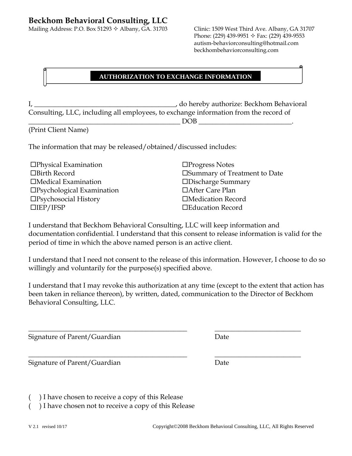Mailing Address: P.O. Box 51293  $\Diamond$  Albany, GA. 31703 Clinic: 1509 West Third Ave. Albany, GA 31707

Phone: (229) 439-9951  $\triangle$  Fax: (229) 439-9553 autism-behaviorconsulting@hotmail.com beckhombehaviorconsulting.com

## **AUTHORIZATION TO EXCHANGE INFORMATION FORM**

| , do hereby authorize: Beckhom Behavioral                                            |  |
|--------------------------------------------------------------------------------------|--|
| Consulting, LLC, including all employees, to exchange information from the record of |  |
| DOB                                                                                  |  |

(Print Client Name)

The information that may be released/obtained/discussed includes:

| □Physical Examination               | $\square$ Pro  |
|-------------------------------------|----------------|
| $\Box$ Birth Record                 | $\square$ Sun  |
| □Medical Examination                | $\square$ Dise |
| $\square$ Psychological Examination | $\Box$ Afto    |
| $\square$ Psychosocial History      | $\square$ Me   |
| $\Box$ IEP/IFSP                     | $\square$ Edu  |
|                                     |                |

gress Notes nmary of Treatment to Date charge Summary er Care Plan dication Record ication Record

I understand that Beckhom Behavioral Consulting, LLC will keep information and documentation confidential. I understand that this consent to release information is valid for the period of time in which the above named person is an active client.

I understand that I need not consent to the release of this information. However, I choose to do so willingly and voluntarily for the purpose(s) specified above.

I understand that I may revoke this authorization at any time (except to the extent that action has been taken in reliance thereon), by written, dated, communication to the Director of Beckhom Behavioral Consulting, LLC.

 $\_$  , and the set of the set of the set of the set of the set of the set of the set of the set of the set of the set of the set of the set of the set of the set of the set of the set of the set of the set of the set of th

 $\_$  , and the set of the set of the set of the set of the set of the set of the set of the set of the set of the set of the set of the set of the set of the set of the set of the set of the set of the set of the set of th

Signature of Parent/Guardian Date

Signature of Parent/Guardian Date

( ) I have chosen to receive a copy of this Release

( ) I have chosen not to receive a copy of this Release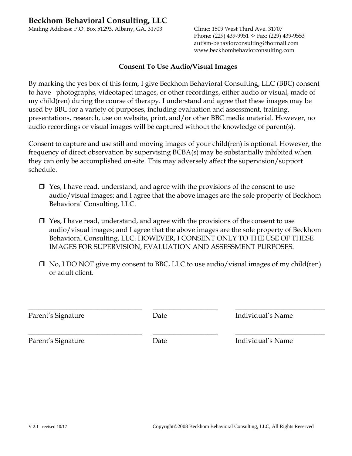# **Beckhom Behavioral Consulting, LLC**

Mailing Address: P.O. Box 51293, Albany, GA. 31703 Clinic: 1509 West Third Ave. 31707

Phone: (229) 439-9951  $\Diamond$  Fax: (229) 439-9553 autism-behaviorconsulting@hotmail.com www.beckhombehaviorconsulting.com

# **Consent To Use Audio/Visual Images**

By marking the yes box of this form, I give Beckhom Behavioral Consulting, LLC (BBC) consent to have photographs, videotaped images, or other recordings, either audio or visual, made of my child(ren) during the course of therapy. I understand and agree that these images may be used by BBC for a variety of purposes, including evaluation and assessment, training, presentations, research, use on website, print, and/or other BBC media material. However, no audio recordings or visual images will be captured without the knowledge of parent(s).

Consent to capture and use still and moving images of your child(ren) is optional. However, the frequency of direct observation by supervising BCBA(s) may be substantially inhibited when they can only be accomplished on-site. This may adversely affect the supervision/support schedule.

- $\Box$  Yes, I have read, understand, and agree with the provisions of the consent to use audio/visual images; and I agree that the above images are the sole property of Beckhom Behavioral Consulting, LLC.
- $\Box$  Yes, I have read, understand, and agree with the provisions of the consent to use audio/visual images; and I agree that the above images are the sole property of Beckhom Behavioral Consulting, LLC. HOWEVER, I CONSENT ONLY TO THE USE OF THESE IMAGES FOR SUPERVISION, EVALUATION AND ASSESSMENT PURPOSES.
- $\Box$  No, I DO NOT give my consent to BBC, LLC to use audio/visual images of my child(ren) or adult client.

| Parent's Signature | Date | Individual's Name |
|--------------------|------|-------------------|
| Parent's Signature | Date | Individual's Name |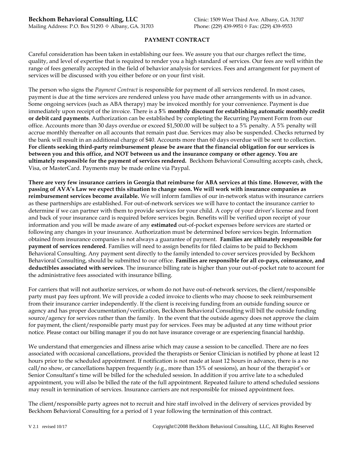Mailing Address: P.O. Box 51293 Albany, GA. 31703 Phone: (229) 439-9951 Fax: (229) 439-9553

## **PAYMENT CONTRACT**

Careful consideration has been taken in establishing our fees. We assure you that our charges reflect the time, quality, and level of expertise that is required to render you a high standard of services. Our fees are well within the range of fees generally accepted in the field of behavior analysis for services. Fees and arrangement for payment of services will be discussed with you either before or on your first visit.

The person who signs the *Payment Contract* is responsible for payment of all services rendered. In most cases, payment is due at the time services are rendered unless you have made other arrangements with us in advance. Some ongoing services (such as ABA therapy) may be invoiced monthly for your convenience. Payment is due immediately upon receipt of the invoice. There is a **5**% **monthly discount for establishing automatic monthly credit or debit card payments**. Authorization can be established by completing the Recurring Payment Form from our office. Accounts more than 30 days overdue or exceed \$1,500.00 will be subject to a 5% penalty. A 5% penalty will accrue monthly thereafter on all accounts that remain past due. Services may also be suspended. Checks returned by the bank will result in an additional charge of \$40. Accounts more than 60 days overdue will be sent to collection. **For clients seeking third-party reimbursement please be aware that the financial obligation for our services is between you and this office, and NOT between us and the insurance company or other agency. You are ultimately responsible for the payment of services rendered.** Beckhom Behavioral Consulting accepts cash, check, Visa, or MasterCard. Payments may be made online via Paypal.

**There are very few insurance carriers in Georgia that reimburse for ABA services at this time. However, with the passing of AVA's Law we expect this situation to change soon. We will work with insurance companies as reimbursement services become available.** We will inform families of our in-network status with insurance carriers as these partnerships are established. For out-of-network services we will have to contact the insurance carrier to determine if we can partner with them to provide services for your child. A copy of your driver's license and front and back of your insurance card is required before services begin. Benefits will be verified upon receipt of your information and you will be made aware of any **estimated** out-of-pocket expenses before services are started or following any changes in your insurance. Authorization must be determined before services begin. Information obtained from insurance companies is not always a guarantee of payment. **Families are ultimately responsible for payment of services rendered**. Families will need to assign benefits for filed claims to be paid to Beckhom Behavioral Consulting. Any payment sent directly to the family intended to cover services provided by Beckhom Behavioral Consulting, should be submitted to our office. **Families are responsible for all co-pays, coinsurance, and deductibles associated with services**. The insurance billing rate is higher than your out-of-pocket rate to account for the administrative fees associated with insurance billing.

For carriers that will not authorize services, or whom do not have out-of-network services, the client/responsible party must pay fees upfront. We will provide a coded invoice to clients who may choose to seek reimbursement from their insurance carrier independently. If the client is receiving funding from an outside funding source or agency and has proper documentation/verification, Beckhom Behavioral Consulting will bill the outside funding source/agency for services rather than the family. In the event that the outside agency does not approve the claim for payment, the client/responsible party must pay for services. Fees may be adjusted at any time without prior notice. Please contact our billing manager if you do not have insurance coverage or are experiencing financial hardship.

We understand that emergencies and illness arise which may cause a session to be cancelled. There are no fees associated with occasional cancellations, provided the therapists or Senior Clinician is notified by phone at least 12 hours prior to the scheduled appointment. If notification is not made at least 12 hours in advance, there is a no call/no show, or cancellations happen frequently (e.g., more than 15% of sessions), an hour of the therapist's or Senior Consultant's time will be billed for the scheduled session. In addition if you arrive late to a scheduled appointment, you will also be billed the rate of the full appointment. Repeated failure to attend scheduled sessions may result in termination of services. Insurance carriers are not responsible for missed appointment fees.

The client/responsible party agrees not to recruit and hire staff involved in the delivery of services provided by Beckhom Behavioral Consulting for a period of 1 year following the termination of this contract.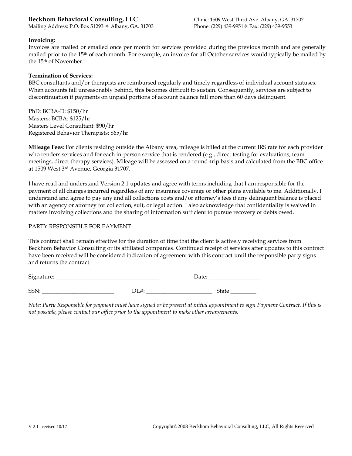## **Beckhom Behavioral Consulting, LLC** Clinic: 1509 West Third Ave. Albany, GA. 31707

Mailing Address: P.O. Box 51293 Albany, GA. 31703 Phone: (229) 439-9951 Fax: (229) 439-9553

### **Invoicing:**

Invoices are mailed or emailed once per month for services provided during the previous month and are generally mailed prior to the 15th of each month. For example, an invoice for all October services would typically be mailed by the 15th of November.

### **Termination of Services:**

BBC consultants and/or therapists are reimbursed regularly and timely regardless of individual account statuses. When accounts fall unreasonably behind, this becomes difficult to sustain. Consequently, services are subject to discontinuation if payments on unpaid portions of account balance fall more than 60 days delinquent.

PhD: BCBA-D: \$150/hr Masters: BCBA: \$125/hr Masters Level Consultant: \$90/hr Registered Behavior Therapists: \$65/hr

**Mileage Fees**: For clients residing outside the Albany area, mileage is billed at the current IRS rate for each provider who renders services and for each in-person service that is rendered (e.g., direct testing for evaluations, team meetings, direct therapy services). Mileage will be assessed on a round-trip basis and calculated from the BBC office at 1509 West 3rd Avenue, Georgia 31707.

I have read and understand Version 2.1 updates and agree with terms including that I am responsible for the payment of all charges incurred regardless of any insurance coverage or other plans available to me. Additionally, I understand and agree to pay any and all collections costs and/or attorney's fees if any delinquent balance is placed with an agency or attorney for collection, suit, or legal action. I also acknowledge that confidentiality is waived in matters involving collections and the sharing of information sufficient to pursue recovery of debts owed.

### PARTY RESPONSIBLE FOR PAYMENT

This contract shall remain effective for the duration of time that the client is actively receiving services from Beckhom Behavior Consulting or its affiliated companies. Continued receipt of services after updates to this contract have been received will be considered indication of agreement with this contract until the responsible party signs and returns the contract.

Signature: \_\_\_\_\_\_\_\_\_\_\_\_\_\_\_\_\_\_\_\_\_\_\_\_\_\_\_\_\_\_\_\_\_\_\_\_ Date: \_\_\_\_\_\_\_\_\_\_\_\_\_\_\_\_\_\_  $SSN:$   $DL#:$   $DL#:$   $State$ 

*Note: Party Responsible for payment must have signed or be present at initial appointment to sign Payment Contract. If this is not possible, please contact our office prior to the appointment to make other arrangements.*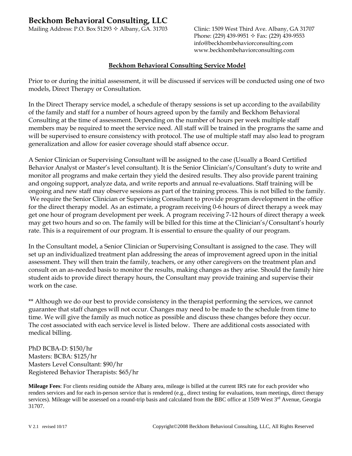# **Beckhom Behavioral Consulting, LLC**

Mailing Address: P.O. Box 51293  $\Diamond$  Albany, GA. 31703 Clinic: 1509 West Third Ave. Albany, GA 31707

Phone: (229) 439-9951 ☆ Fax: (229) 439-9553 info@beckhombehaviorconsulting.com www.beckhombehaviorconsulting.com

## **Beckhom Behavioral Consulting Service Model**

Prior to or during the initial assessment, it will be discussed if services will be conducted using one of two models, Direct Therapy or Consultation.

In the Direct Therapy service model, a schedule of therapy sessions is set up according to the availability of the family and staff for a number of hours agreed upon by the family and Beckhom Behavioral Consulting at the time of assessment. Depending on the number of hours per week multiple staff members may be required to meet the service need. All staff will be trained in the programs the same and will be supervised to ensure consistency with protocol. The use of multiple staff may also lead to program generalization and allow for easier coverage should staff absence occur.

A Senior Clinician or Supervising Consultant will be assigned to the case (Usually a Board Certified Behavior Analyst or Master's level consultant). It is the Senior Clinician's/Consultant's duty to write and monitor all programs and make certain they yield the desired results. They also provide parent training and ongoing support, analyze data, and write reports and annual re-evaluations. Staff training will be ongoing and new staff may observe sessions as part of the training process. This is not billed to the family. We require the Senior Clinician or Supervising Consultant to provide program development in the office for the direct therapy model. As an estimate, a program receiving 0-6 hours of direct therapy a week may get one hour of program development per week. A program receiving 7-12 hours of direct therapy a week may get two hours and so on. The family will be billed for this time at the Clinician's/Consultant's hourly rate. This is a requirement of our program. It is essential to ensure the quality of our program.

In the Consultant model, a Senior Clinician or Supervising Consultant is assigned to the case. They will set up an individualized treatment plan addressing the areas of improvement agreed upon in the initial assessment. They will then train the family, teachers, or any other caregivers on the treatment plan and consult on an as-needed basis to monitor the results, making changes as they arise. Should the family hire student aids to provide direct therapy hours, the Consultant may provide training and supervise their work on the case.

\*\* Although we do our best to provide consistency in the therapist performing the services, we cannot guarantee that staff changes will not occur. Changes may need to be made to the schedule from time to time. We will give the family as much notice as possible and discuss these changes before they occur. The cost associated with each service level is listed below. There are additional costs associated with medical billing.

PhD BCBA-D: \$150/hr Masters: BCBA: \$125/hr Masters Level Consultant: \$90/hr Registered Behavior Therapists: \$65/hr

**Mileage Fees**: For clients residing outside the Albany area, mileage is billed at the current IRS rate for each provider who renders services and for each in-person service that is rendered (e.g., direct testing for evaluations, team meetings, direct therapy services). Mileage will be assessed on a round-trip basis and calculated from the BBC office at 1509 West 3<sup>rd</sup> Avenue, Georgia 31707.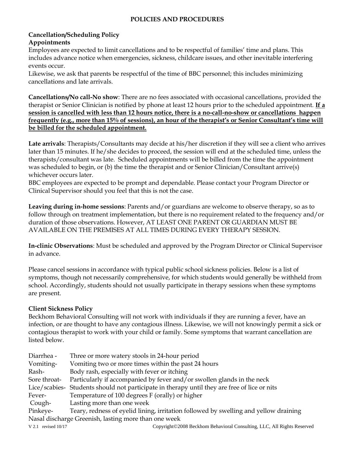# **POLICIES AND PROCEDURES**

## **Cancellation/Scheduling Policy Appointments**

Employees are expected to limit cancellations and to be respectful of families' time and plans. This includes advance notice when emergencies, sickness, childcare issues, and other inevitable interfering events occur.

Likewise, we ask that parents be respectful of the time of BBC personnel; this includes minimizing cancellations and late arrivals.

**Cancellations/No call-No show**: There are no fees associated with occasional cancellations, provided the therapist or Senior Clinician is notified by phone at least 12 hours prior to the scheduled appointment. **If a session is cancelled with less than 12 hours notice, there is a no-call-no-show or cancellations happen frequently (e.g., more than 15% of sessions), an hour of the therapist's or Senior Consultant's time will be billed for the scheduled appointment.** 

**Late arrivals**: Therapists/Consultants may decide at his/her discretion if they will see a client who arrives later than 15 minutes. If he/she decides to proceed, the session will end at the scheduled time, unless the therapists/consultant was late. Scheduled appointments will be billed from the time the appointment was scheduled to begin, or (b) the time the therapist and or Senior Clinician/Consultant arrive(s) whichever occurs later.

BBC employees are expected to be prompt and dependable. Please contact your Program Director or Clinical Supervisor should you feel that this is not the case.

**Leaving during in-home sessions**: Parents and/or guardians are welcome to observe therapy, so as to follow through on treatment implementation, but there is no requirement related to the frequency and/or duration of those observations. However, AT LEAST ONE PARENT OR GUARDIAN MUST BE AVAILABLE ON THE PREMISES AT ALL TIMES DURING EVERY THERAPY SESSION.

**In-clinic Observations**: Must be scheduled and approved by the Program Director or Clinical Supervisor in advance.

Please cancel sessions in accordance with typical public school sickness policies. Below is a list of symptoms, though not necessarily comprehensive, for which students would generally be withheld from school. Accordingly, students should not usually participate in therapy sessions when these symptoms are present.

# **Client Sickness Policy**

Beckhom Behavioral Consulting will not work with individuals if they are running a fever, have an infection, or are thought to have any contagious illness. Likewise, we will not knowingly permit a sick or contagious therapist to work with your child or family. Some symptoms that warrant cancellation are listed below.

| Diarrhea -                                           | Three or more watery stools in 24-hour period                                                |  |
|------------------------------------------------------|----------------------------------------------------------------------------------------------|--|
| Vomiting-                                            | Vomiting two or more times within the past 24 hours                                          |  |
| Rash-                                                | Body rash, especially with fever or itching                                                  |  |
| Sore throat-                                         | Particularly if accompanied by fever and/or swollen glands in the neck                       |  |
|                                                      | Lice/scabies- Students should not participate in therapy until they are free of lice or nits |  |
| Fever-                                               | Temperature of 100 degrees F (orally) or higher                                              |  |
| Cough-                                               | Lasting more than one week                                                                   |  |
| Pinkeye-                                             | Teary, redness of eyelid lining, irritation followed by swelling and yellow draining         |  |
| Nasal discharge Greenish, lasting more than one week |                                                                                              |  |
|                                                      |                                                                                              |  |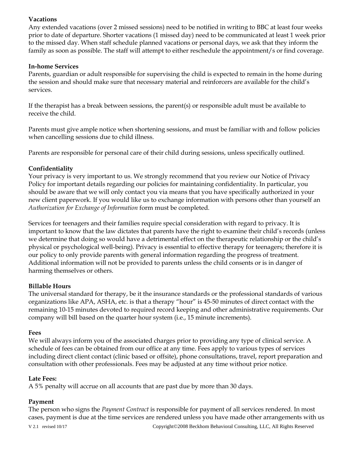# **Vacations**

Any extended vacations (over 2 missed sessions) need to be notified in writing to BBC at least four weeks prior to date of departure. Shorter vacations (1 missed day) need to be communicated at least 1 week prior to the missed day. When staff schedule planned vacations or personal days, we ask that they inform the family as soon as possible. The staff will attempt to either reschedule the appointment/s or find coverage.

# **In-home Services**

Parents, guardian or adult responsible for supervising the child is expected to remain in the home during the session and should make sure that necessary material and reinforcers are available for the child's services.

If the therapist has a break between sessions, the parent(s) or responsible adult must be available to receive the child.

Parents must give ample notice when shortening sessions, and must be familiar with and follow policies when cancelling sessions due to child illness.

Parents are responsible for personal care of their child during sessions, unless specifically outlined.

# **Confidentiality**

Your privacy is very important to us. We strongly recommend that you review our Notice of Privacy Policy for important details regarding our policies for maintaining confidentiality. In particular, you should be aware that we will only contact you via means that you have specifically authorized in your new client paperwork. If you would like us to exchange information with persons other than yourself an *Authorization for Exchange of Information* form must be completed.

Services for teenagers and their families require special consideration with regard to privacy. It is important to know that the law dictates that parents have the right to examine their child's records (unless we determine that doing so would have a detrimental effect on the therapeutic relationship or the child's physical or psychological well-being). Privacy is essential to effective therapy for teenagers; therefore it is our policy to only provide parents with general information regarding the progress of treatment. Additional information will not be provided to parents unless the child consents or is in danger of harming themselves or others.

# **Billable Hours**

The universal standard for therapy, be it the insurance standards or the professional standards of various organizations like APA, ASHA, etc. is that a therapy "hour" is 45-50 minutes of direct contact with the remaining 10-15 minutes devoted to required record keeping and other administrative requirements. Our company will bill based on the quarter hour system (i.e., 15 minute increments).

# **Fees**

We will always inform you of the associated charges prior to providing any type of clinical service. A schedule of fees can be obtained from our office at any time. Fees apply to various types of services including direct client contact (clinic based or offsite), phone consultations, travel, report preparation and consultation with other professionals. Fees may be adjusted at any time without prior notice.

# **Late Fees:**

A 5% penalty will accrue on all accounts that are past due by more than 30 days.

# **Payment**

The person who signs the *Payment Contract* is responsible for payment of all services rendered. In most cases, payment is due at the time services are rendered unless you have made other arrangements with us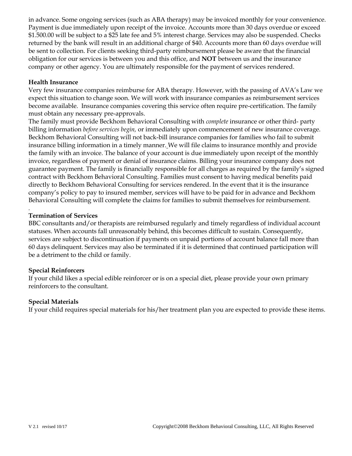in advance. Some ongoing services (such as ABA therapy) may be invoiced monthly for your convenience. Payment is due immediately upon receipt of the invoice. Accounts more than 30 days overdue or exceed \$1.500.00 will be subject to a \$25 late fee and 5% interest charge. Services may also be suspended. Checks returned by the bank will result in an additional charge of \$40. Accounts more than 60 days overdue will be sent to collection. For clients seeking third-party reimbursement please be aware that the financial obligation for our services is between you and this office, and **NOT** between us and the insurance company or other agency. You are ultimately responsible for the payment of services rendered.

## **Health Insurance**

Very few insurance companies reimburse for ABA therapy. However, with the passing of AVA's Law we expect this situation to change soon. We will work with insurance companies as reimbursement services become available. Insurance companies covering this service often require pre-certification. The family must obtain any necessary pre-approvals.

The family must provide Beckhom Behavioral Consulting with *complete* insurance or other third- party billing information *before services begin,* or immediately upon commencement of new insurance coverage. Beckhom Behavioral Consulting will not back-bill insurance companies for families who fail to submit insurance billing information in a timely manner. We will file claims to insurance monthly and provide the family with an invoice. The balance of your account is due immediately upon receipt of the monthly invoice, regardless of payment or denial of insurance claims. Billing your insurance company does not guarantee payment. The family is financially responsible for all charges as required by the family's signed contract with Beckhom Behavioral Consulting. Families must consent to having medical benefits paid directly to Beckhom Behavioral Consulting for services rendered. In the event that it is the insurance company's policy to pay to insured member, services will have to be paid for in advance and Beckhom Behavioral Consulting will complete the claims for families to submit themselves for reimbursement.

## **Termination of Services**

*.*

BBC consultants and/or therapists are reimbursed regularly and timely regardless of individual account statuses. When accounts fall unreasonably behind, this becomes difficult to sustain. Consequently, services are subject to discontinuation if payments on unpaid portions of account balance fall more than 60 days delinquent. Services may also be terminated if it is determined that continued participation will be a detriment to the child or family.

## **Special Reinforcers**

If your child likes a special edible reinforcer or is on a special diet, please provide your own primary reinforcers to the consultant.

## **Special Materials**

If your child requires special materials for his/her treatment plan you are expected to provide these items.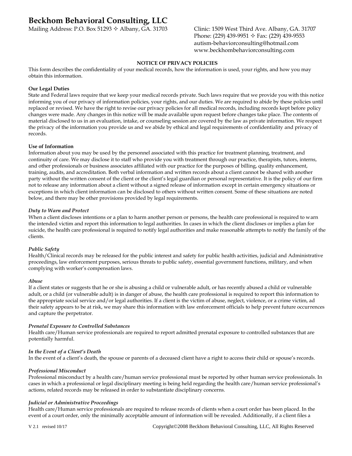# **Beckhom Behavioral Consulting, LLC**

Mailing Address: P.O. Box 51293  $\Diamond$  Albany, GA. 31703 Clinic: 1509 West Third Ave. Albany, GA. 31707

Phone: (229) 439-9951  $\triangle$  Fax: (229) 439-9553 autism-behaviorconsulting@hotmail.com www.beckhombehaviorconsulting.com

### **NOTICE OF PRIVACY POLICIES**

This form describes the confidentiality of your medical records, how the information is used, your rights, and how you may obtain this information.

### **Our Legal Duties**

State and Federal laws require that we keep your medical records private. Such laws require that we provide you with this notice informing you of our privacy of information policies, your rights, and our duties. We are required to abide by these policies until replaced or revised. We have the right to revise our privacy policies for all medical records, including records kept before policy changes were made. Any changes in this notice will be made available upon request before changes take place. The contents of material disclosed to us in an evaluation, intake, or counseling session are covered by the law as private information. We respect the privacy of the information you provide us and we abide by ethical and legal requirements of confidentiality and privacy of records.

#### **Use of Information**

Information about you may be used by the personnel associated with this practice for treatment planning, treatment, and continuity of care. We may disclose it to staff who provide you with treatment through our practice, therapists, tutors, interns, and other professionals or business associates affiliated with our practice for the purposes of billing, quality enhancement, training, audits, and accreditation. Both verbal information and written records about a client cannot be shared with another party without the written consent of the client or the client's legal guardian or personal representative. It is the policy of our firm not to release any information about a client without a signed release of information except in certain emergency situations or exceptions in which client information can be disclosed to others without written consent. Some of these situations are noted below, and there may be other provisions provided by legal requirements.

#### *Duty to Warn and Protect*

When a client discloses intentions or a plan to harm another person or persons, the health care professional is required to warn the intended victim and report this information to legal authorities. In cases in which the client discloses or implies a plan for suicide, the health care professional is required to notify legal authorities and make reasonable attempts to notify the family of the clients.

## *Public Safety*

Health/Clinical records may be released for the public interest and safety for public health activities, judicial and Administrative proceedings, law enforcement purposes, serious threats to public safety, essential government functions, military, and when complying with worker's compensation laws.

#### *Abuse*

If a client states or suggests that he or she is abusing a child or vulnerable adult, or has recently abused a child or vulnerable adult, or a child (or vulnerable adult) is in danger of abuse, the health care professional is required to report this information to the appropriate social service and/or legal authorities. If a client is the victim of abuse, neglect, violence, or a crime victim, ad their safety appears to be at risk, we may share this information with law enforcement officials to help prevent future occurrences and capture the perpetrator.

#### *Prenatal Exposure to Controlled Substances*

Health care/Human service professionals are required to report admitted prenatal exposure to controlled substances that are potentially harmful.

#### *In the Event of a Client's Death*

In the event of a client's death, the spouse or parents of a deceased client have a right to access their child or spouse's records.

## *Professional Misconduct*

Professional misconduct by a health care/human service professional must be reported by other human service professionals. In cases in which a professional or legal disciplinary meeting is being held regarding the health care/human service professional's actions, related records may be released in order to substantiate disciplinary concerns.

## *Judicial or Administrative Proceedings*

Health care/Human service professionals are required to release records of clients when a court order has been placed. In the event of a court order, only the minimally acceptable amount of information will be revealed. Additionally, if a client files a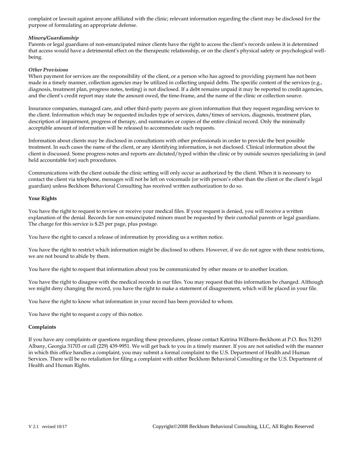complaint or lawsuit against anyone affiliated with the clinic; relevant information regarding the client may be disclosed for the purpose of formulating an appropriate defense.

#### *Minors/Guardianship*

Parents or legal guardians of non-emancipated minor clients have the right to access the client's records unless it is determined that access would have a detrimental effect on the therapeutic relationship, or on the client's physical safety or psychological wellbeing.

#### *Other Provisions*

When payment for services are the responsibility of the client, or a person who has agreed to providing payment has not been made in a timely manner, collection agencies may be utilized in collecting unpaid debts. The specific content of the services (e.g., diagnosis, treatment plan, progress notes, testing) is not disclosed. If a debt remains unpaid it may be reported to credit agencies, and the client's credit report may state the amount owed, the time-frame, and the name of the clinic or collection source.

Insurance companies, managed care, and other third-party payers are given information that they request regarding services to the client. Information which may be requested includes type of services, dates/times of services, diagnosis, treatment plan, description of impairment, progress of therapy, and summaries or copies of the entire clinical record. Only the minimally acceptable amount of information will be released to accommodate such requests.

Information about clients may be disclosed in consultations with other professionals in order to provide the best possible treatment. In such cases the name of the client, or any identifying information, is not disclosed. Clinical information about the client is discussed. Some progress notes and reports are dictated/typed within the clinic or by outside sources specializing in (and held accountable for) such procedures.

Communications with the client outside the clinic setting will only occur as authorized by the client. When it is necessary to contact the client via telephone, messages will not be left on voicemails (or with person's other than the client or the client's legal guardian) unless Beckhom Behavioral Consulting has received written authorization to do so.

#### **Your Rights**

You have the right to request to review or receive your medical files. If your request is denied, you will receive a written explanation of the denial. Records for non-emancipated minors must be requested by their custodial parents or legal guardians. The charge for this service is \$.25 per page, plus postage.

You have the right to cancel a release of information by providing us a written notice.

You have the right to restrict which information might be disclosed to others. However, if we do not agree with these restrictions, we are not bound to abide by them.

You have the right to request that information about you be communicated by other means or to another location.

You have the right to disagree with the medical records in our files. You may request that this information be changed. Although we might deny changing the record, you have the right to make a statement of disagreement, which will be placed in your file.

You have the right to know what information in your record has been provided to whom.

You have the right to request a copy of this notice.

#### **Complaints**

If you have any complaints or questions regarding these procedures, please contact Katrina Wilburn-Beckhom at P.O. Box 51293 Albany, Georgia 31703 or call (229) 439-9951. We will get back to you in a timely manner. If you are not satisfied with the manner in which this office handles a complaint, you may submit a formal complaint to the U.S. Department of Health and Human Services. There will be no retaliation for filing a complaint with either Beckhom Behavioral Consulting or the U.S. Department of Health and Human Rights.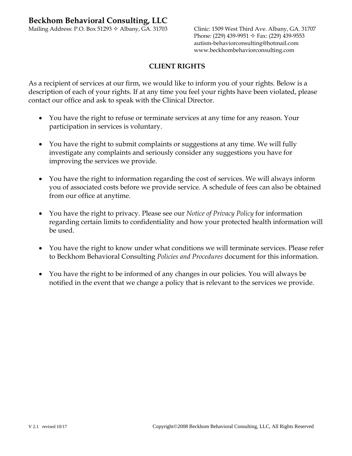Mailing Address: P.O. Box 51293  $\Diamond$  Albany, GA. 31703 Clinic: 1509 West Third Ave. Albany, GA. 31707

Phone: (229) 439-9951  $\Diamond$  Fax: (229) 439-9553 autism-behaviorconsulting@hotmail.com www.beckhombehaviorconsulting.com

# **CLIENT RIGHTS**

As a recipient of services at our firm, we would like to inform you of your rights. Below is a description of each of your rights. If at any time you feel your rights have been violated, please contact our office and ask to speak with the Clinical Director.

- You have the right to refuse or terminate services at any time for any reason. Your participation in services is voluntary.
- You have the right to submit complaints or suggestions at any time. We will fully investigate any complaints and seriously consider any suggestions you have for improving the services we provide.
- You have the right to information regarding the cost of services. We will always inform you of associated costs before we provide service. A schedule of fees can also be obtained from our office at anytime.
- You have the right to privacy. Please see our *Notice of Privacy Policy* for information regarding certain limits to confidentiality and how your protected health information will be used.
- You have the right to know under what conditions we will terminate services. Please refer to Beckhom Behavioral Consulting *Policies and Procedures* document for this information.
- You have the right to be informed of any changes in our policies. You will always be notified in the event that we change a policy that is relevant to the services we provide.